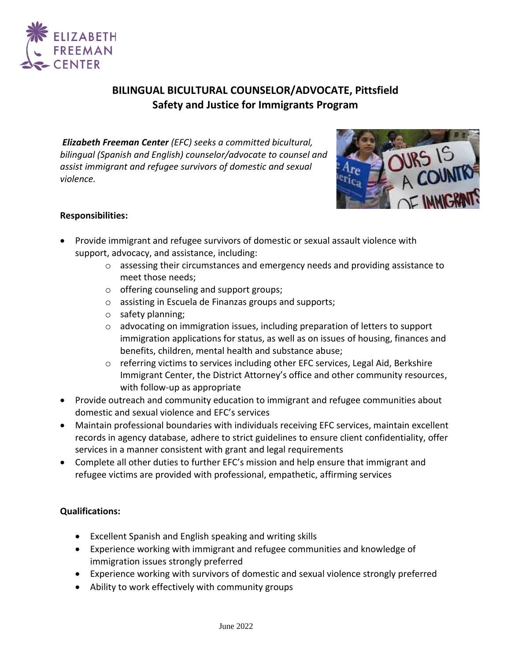

# **BILINGUAL BICULTURAL COUNSELOR/ADVOCATE, Pittsfield Safety and Justice for Immigrants Program**

*Elizabeth Freeman Center (EFC) seeks a committed bicultural, bilingual (Spanish and English) counselor/advocate to counsel and assist immigrant and refugee survivors of domestic and sexual violence.*



## **Responsibilities:**

- Provide immigrant and refugee survivors of domestic or sexual assault violence with support, advocacy, and assistance, including:
	- $\circ$  assessing their circumstances and emergency needs and providing assistance to meet those needs;
	- o offering counseling and support groups;
	- o assisting in Escuela de Finanzas groups and supports;
	- o safety planning;
	- o advocating on immigration issues, including preparation of letters to support immigration applications for status, as well as on issues of housing, finances and benefits, children, mental health and substance abuse;
	- $\circ$  referring victims to services including other EFC services, Legal Aid, Berkshire Immigrant Center, the District Attorney's office and other community resources, with follow-up as appropriate
- Provide outreach and community education to immigrant and refugee communities about domestic and sexual violence and EFC's services
- Maintain professional boundaries with individuals receiving EFC services, maintain excellent records in agency database, adhere to strict guidelines to ensure client confidentiality, offer services in a manner consistent with grant and legal requirements
- Complete all other duties to further EFC's mission and help ensure that immigrant and refugee victims are provided with professional, empathetic, affirming services

#### **Qualifications:**

- Excellent Spanish and English speaking and writing skills
- Experience working with immigrant and refugee communities and knowledge of immigration issues strongly preferred
- Experience working with survivors of domestic and sexual violence strongly preferred
- Ability to work effectively with community groups